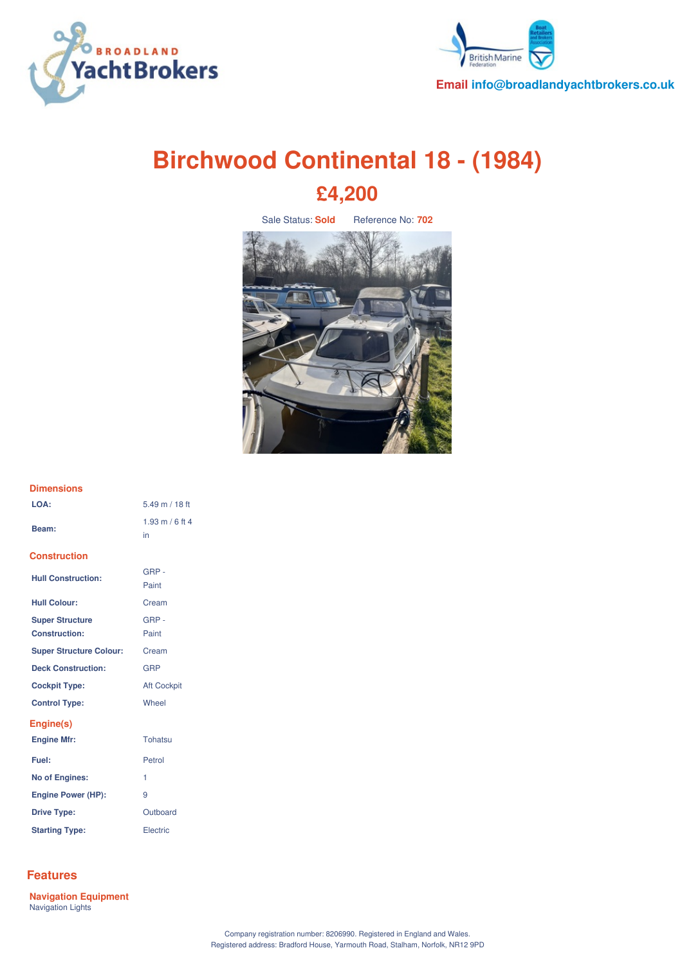



# **Birchwood Continental 18 - (1984) £4,200**

Sale Status: **Sold** Reference No: **702**



## **Dimensions LOA:** 5.49 m / 18 ft

| Beam:                          | $1.93 \text{ m} / 6 \text{ ft} 4$<br>in |
|--------------------------------|-----------------------------------------|
| Construction                   |                                         |
| <b>Hull Construction:</b>      | GRP-<br>Paint                           |
| <b>Hull Colour:</b>            | Cream                                   |
| <b>Super Structure</b>         | GRP-                                    |
| <b>Construction:</b>           | Paint                                   |
| <b>Super Structure Colour:</b> | Cream                                   |
| <b>Deck Construction:</b>      | <b>GRP</b>                              |
| <b>Cockpit Type:</b>           | <b>Aft Cockpit</b>                      |
| <b>Control Type:</b>           | Wheel                                   |
| Engine(s)                      |                                         |
| <b>Engine Mfr:</b>             | Tohatsu                                 |
| Fuel:                          | Petrol                                  |
| <b>No of Engines:</b>          | 1                                       |
| <b>Engine Power (HP):</b>      | 9                                       |
| <b>Drive Type:</b>             | Outboard                                |
| <b>Starting Type:</b>          | Electric                                |

### **Features**

**Navigation Equipment** Navigation Lights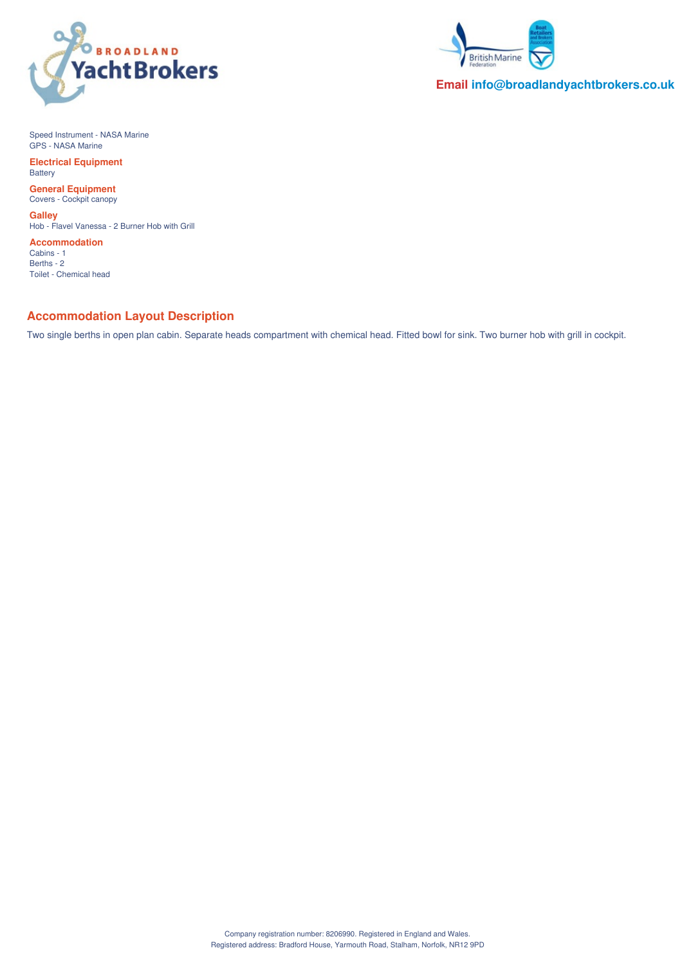



**Email info@broadlandyachtbrokers.co.uk**

Speed Instrument - NASA Marine GPS - NASA Marine

**Electrical Equipment Battery** 

**General Equipment** Covers - Cockpit canopy

**Galley** Hob - Flavel Vanessa - 2 Burner Hob with Grill

**Accommodation** Cabins - 1 Berths - 2 Toilet - Chemical head

#### **Accommodation Layout Description**

Two single berths in open plan cabin. Separate heads compartment with chemical head. Fitted bowl for sink. Two burner hob with grill in cockpit.